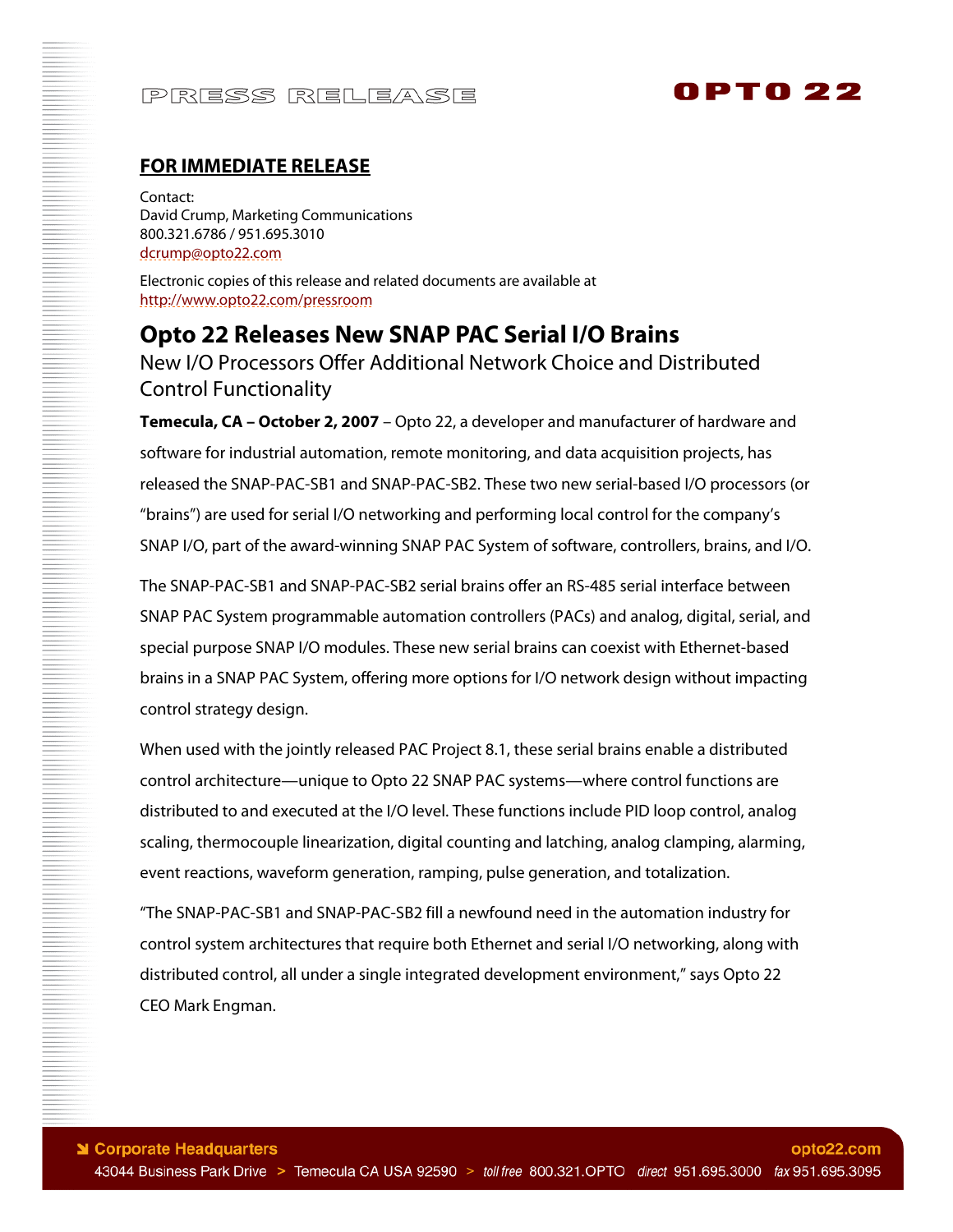# PRESS RELEASE

# 0PT0 22

### **FOR IMMEDIATE RELEASE**

Contact: David Crump, Marketing Communications 800.321.6786 / 951.695.3010 dcrump@opto22.com

Electronic copies of this release and related documents are available at <http://www.opto22.com/pressroom>

**Opto 22 Releases New SNAP PAC Serial I/O Brains**  New I/O Processors Offer Additional Network Choice and Distributed Control Functionality

**Temecula, CA – October 2, 2007** – Opto 22, a developer and manufacturer of hardware and software for industrial automation, remote monitoring, and data acquisition projects, has released the SNAP-PAC-SB1 and SNAP-PAC-SB2. These two new serial-based I/O processors (or "brains") are used for serial I/O networking and performing local control for the company's SNAP I/O, part of the award-winning SNAP PAC System of software, controllers, brains, and I/O.

The SNAP-PAC-SB1 and SNAP-PAC-SB2 serial brains offer an RS-485 serial interface between SNAP PAC System programmable automation controllers (PACs) and analog, digital, serial, and special purpose SNAP I/O modules. These new serial brains can coexist with Ethernet-based brains in a SNAP PAC System, offering more options for I/O network design without impacting control strategy design.

When used with the jointly released PAC Project 8.1, these serial brains enable a distributed control architecture—unique to Opto 22 SNAP PAC systems—where control functions are distributed to and executed at the I/O level. These functions include PID loop control, analog scaling, thermocouple linearization, digital counting and latching, analog clamping, alarming, event reactions, waveform generation, ramping, pulse generation, and totalization.

"The SNAP-PAC-SB1 and SNAP-PAC-SB2 fill a newfound need in the automation industry for control system architectures that require both Ethernet and serial I/O networking, along with distributed control, all under a single integrated development environment," says Opto 22 CEO Mark Engman.